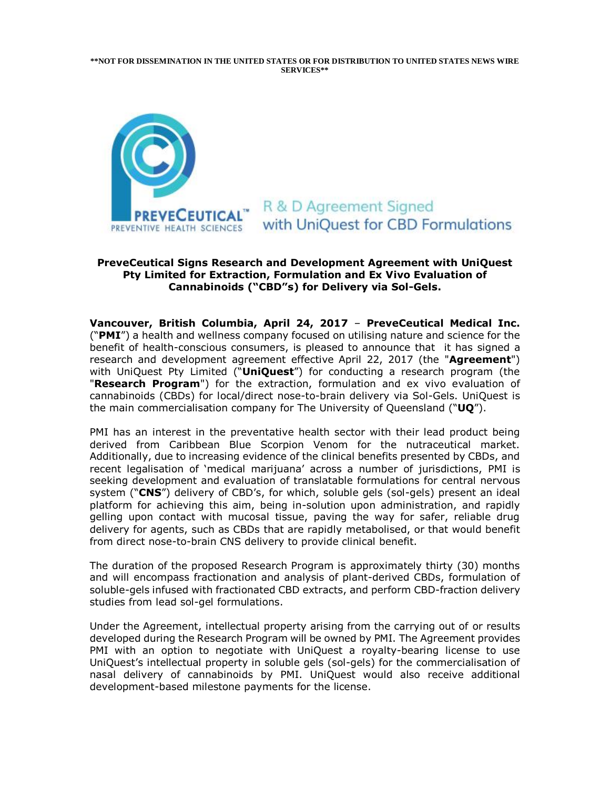**\*\*NOT FOR DISSEMINATION IN THE UNITED STATES OR FOR DISTRIBUTION TO UNITED STATES NEWS WIRE SERVICES\*\***



R & D Agreement Signed with UniQuest for CBD Formulations

# **PreveCeutical Signs Research and Development Agreement with UniQuest Pty Limited for Extraction, Formulation and Ex Vivo Evaluation of Cannabinoids ("CBD"s) for Delivery via Sol-Gels.**

**Vancouver, British Columbia, April 24, 2017** – **PreveCeutical Medical Inc.** ("**PMI**") a health and wellness company focused on utilising nature and science for the benefit of health-conscious consumers, is pleased to announce that it has signed a research and development agreement effective April 22, 2017 (the "**Agreement**") with UniQuest Pty Limited ("**UniQuest**") for conducting a research program (the "**Research Program**") for the extraction, formulation and ex vivo evaluation of cannabinoids (CBDs) for local/direct nose-to-brain delivery via Sol-Gels. UniQuest is the main commercialisation company for The University of Queensland ("**UQ**").

PMI has an interest in the preventative health sector with their lead product being derived from Caribbean Blue Scorpion Venom for the nutraceutical market. Additionally, due to increasing evidence of the clinical benefits presented by CBDs, and recent legalisation of 'medical marijuana' across a number of jurisdictions, PMI is seeking development and evaluation of translatable formulations for central nervous system ("**CNS**") delivery of CBD's, for which, soluble gels (sol-gels) present an ideal platform for achieving this aim, being in-solution upon administration, and rapidly gelling upon contact with mucosal tissue, paving the way for safer, reliable drug delivery for agents, such as CBDs that are rapidly metabolised, or that would benefit from direct nose-to-brain CNS delivery to provide clinical benefit.

The duration of the proposed Research Program is approximately thirty (30) months and will encompass fractionation and analysis of plant-derived CBDs, formulation of soluble-gels infused with fractionated CBD extracts, and perform CBD-fraction delivery studies from lead sol-gel formulations.

Under the Agreement, intellectual property arising from the carrying out of or results developed during the Research Program will be owned by PMI. The Agreement provides PMI with an option to negotiate with UniQuest a royalty-bearing license to use UniQuest's intellectual property in soluble gels (sol-gels) for the commercialisation of nasal delivery of cannabinoids by PMI. UniQuest would also receive additional development-based milestone payments for the license.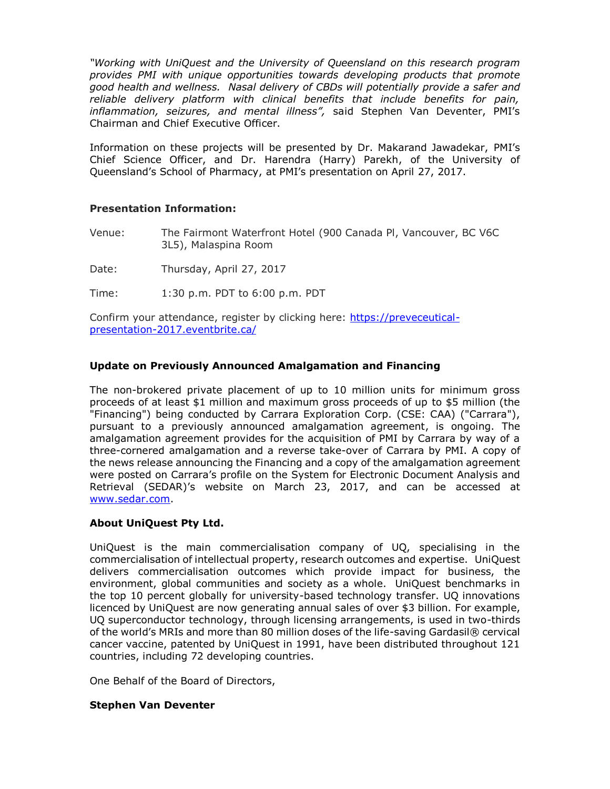*"Working with UniQuest and the University of Queensland on this research program provides PMI with unique opportunities towards developing products that promote good health and wellness. Nasal delivery of CBDs will potentially provide a safer and reliable delivery platform with clinical benefits that include benefits for pain, inflammation, seizures, and mental illness",* said Stephen Van Deventer, PMI's Chairman and Chief Executive Officer.

Information on these projects will be presented by Dr. Makarand Jawadekar, PMI's Chief Science Officer, and Dr. Harendra (Harry) Parekh, of the University of Queensland's School of Pharmacy, at PMI's presentation on April 27, 2017.

## **Presentation Information:**

Venue: The Fairmont Waterfront Hotel (900 Canada Pl, Vancouver, BC V6C 3L5), Malaspina Room

Date: Thursday, April 27, 2017

Time: 1:30 p.m. PDT to 6:00 p.m. PDT

Confirm your attendance, register by clicking here: [https://preveceutical](https://preveceutical-presentation-2017.eventbrite.ca/)[presentation-2017.eventbrite.ca/](https://preveceutical-presentation-2017.eventbrite.ca/)

## **Update on Previously Announced Amalgamation and Financing**

The non-brokered private placement of up to 10 million units for minimum gross proceeds of at least \$1 million and maximum gross proceeds of up to \$5 million (the "Financing") being conducted by Carrara Exploration Corp. (CSE: CAA) ("Carrara"), pursuant to a previously announced amalgamation agreement, is ongoing. The amalgamation agreement provides for the acquisition of PMI by Carrara by way of a three-cornered amalgamation and a reverse take-over of Carrara by PMI. A copy of the news release announcing the Financing and a copy of the amalgamation agreement were posted on Carrara's profile on the System for Electronic Document Analysis and Retrieval (SEDAR)'s website on March 23, 2017, and can be accessed at [www.sedar.com.](http://www.sedar.com/)

## **About UniQuest Pty Ltd.**

UniQuest is the main commercialisation company of UQ, specialising in the commercialisation of intellectual property, research outcomes and expertise. UniQuest delivers commercialisation outcomes which provide impact for business, the environment, global communities and society as a whole. UniQuest benchmarks in the top 10 percent globally for university-based technology transfer. UQ innovations licenced by UniQuest are now generating annual sales of over \$3 billion. For example, UQ superconductor technology, through licensing arrangements, is used in two-thirds of the world's MRIs and more than 80 million doses of the life-saving Gardasil® cervical cancer vaccine, patented by UniQuest in 1991, have been distributed throughout 121 countries, including 72 developing countries.

One Behalf of the Board of Directors,

## **Stephen Van Deventer**